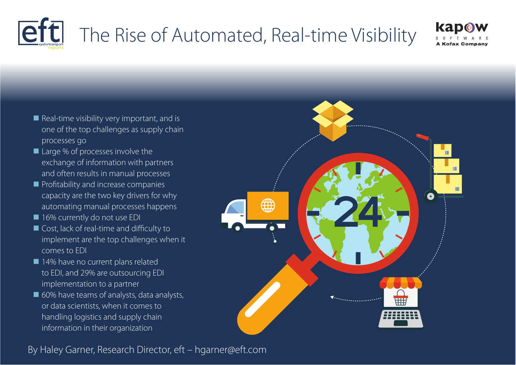

# The Rise of Automated, Real-time Visibility



- $\blacksquare$  Real-time visibility very important, and is one of the top challenges as supply chain processes go
- $\blacksquare$  Large % of processes involve the exchange of information with partners and often results in manual processes
- **n** Profitability and increase companies capacity are the two key drivers for why automating manual processes happens
- 16% currently do not use EDI
- Cost, lack of real-time and difficulty to implement are the top challenges when it comes to EDI
- 14% have no current plans related to EDI, and 29% are outsourcing EDI implementation to a partner
- $\blacksquare$  60% have teams of analysts, data analysts, or data scientists, when it comes to handling logistics and supply chain information in their organization



By Haley Garner, Research Director, eft – hgarner@eft.com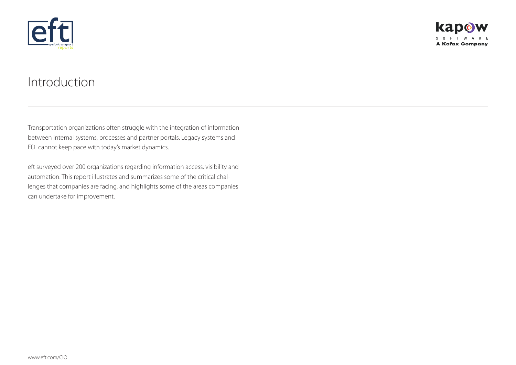

## Introduction

Transportation organizations often struggle with the integration of information between internal systems, processes and partner portals. Legacy systems and EDI cannot keep pace with today's market dynamics.

eft surveyed over 200 organizations regarding information access, visibility and automation. This report illustrates and summarizes some of the critical challenges that companies are facing, and highlights some of the areas companies can undertake for improvement.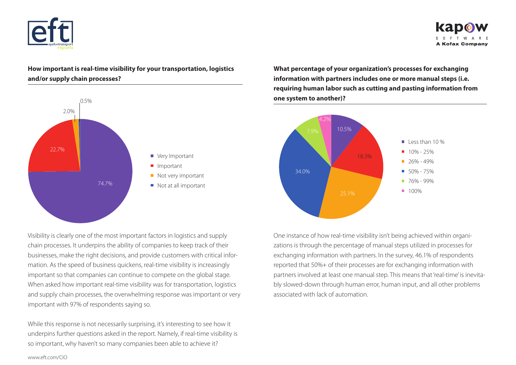



### **How important is real-time visibility for your transportation, logistics and/or supply chain processes?**



Visibility is clearly one of the most important factors in logistics and supply chain processes. It underpins the ability of companies to keep track of their businesses, make the right decisions, and provide customers with critical information. As the speed of business quickens, real-time visibility is increasingly important so that companies can continue to compete on the global stage. When asked how important real-time visibility was for transportation, logistics and supply chain processes, the overwhelming response was important or very important with 97% of respondents saying so.

While this response is not necessarily surprising, it's interesting to see how it underpins further questions asked in the report. Namely, if real-time visibility is so important, why haven't so many companies been able to achieve it?

**What percentage of your organization's processes for exchanging information with partners includes one or more manual steps (i.e. requiring human labor such as cutting and pasting information from one system to another)?**



One instance of how real-time visibility isn't being achieved within organizations is through the percentage of manual steps utilized in processes for exchanging information with partners. In the survey, 46.1% of respondents reported that 50%+ of their processes are for exchanging information with partners involved at least one manual step. This means that 'real-time' is inevitably slowed-down through human error, human input, and all other problems associated with lack of automation.

www.eft.com/CIO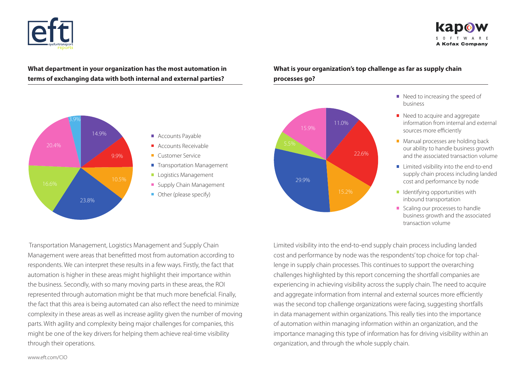



### **What department in your organization has the most automation in terms of exchanging data with both internal and external parties?**



- **Accounts Payable**
- Accounts Receivable
- Customer Service
- **Transportation Management**
- **Logistics Management**
- Supply Chain Management
- Other (please specify)



#### **What is your organization's top challenge as far as supply chain processes go?**

- Need to increasing the speed of business
- $\blacksquare$  Need to acquire and aggregate information from internal and external sources more efficiently
- **Manual processes are holding back** our ability to handle business growth and the associated transaction volume
- Limited visibility into the end-to-end supply chain process including landed cost and performance by node
- $\blacksquare$  Identifying opportunities with inbound transportation
- Scaling our processes to handle business growth and the associated transaction volume

 Transportation Management, Logistics Management and Supply Chain Management were areas that benefitted most from automation according to respondents. We can interpret these results in a few ways. Firstly, the fact that automation is higher in these areas might highlight their importance within the business. Secondly, with so many moving parts in these areas, the ROI represented through automation might be that much more beneficial. Finally, the fact that this area is being automated can also reflect the need to minimize complexity in these areas as well as increase agility given the number of moving parts. With agility and complexity being major challenges for companies, this might be one of the key drivers for helping them achieve real-time visibility through their operations.

Limited visibility into the end-to-end supply chain process including landed cost and performance by node was the respondents' top choice for top challenge in supply chain processes. This continues to support the overarching challenges highlighted by this report concerning the shortfall companies are experiencing in achieving visibility across the supply chain. The need to acquire and aggregate information from internal and external sources more efficiently was the second top challenge organizations were facing, suggesting shortfalls in data management within organizations. This really ties into the importance of automation within managing information within an organization, and the importance managing this type of information has for driving visibility within an organization, and through the whole supply chain.

#### www.eft.com/CIO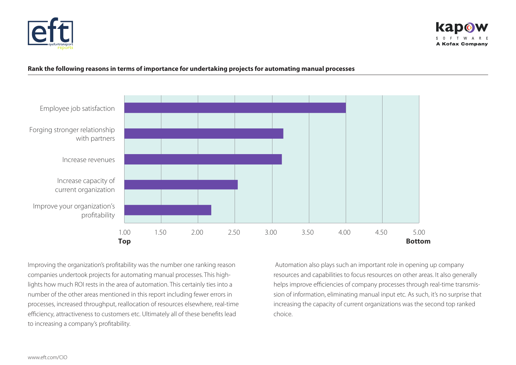



#### **Rank the following reasons in terms of importance for undertaking projects for automating manual processes**



Improving the organization's profitability was the number one ranking reason companies undertook projects for automating manual processes. This highlights how much ROI rests in the area of automation. This certainly ties into a number of the other areas mentioned in this report including fewer errors in processes, increased throughput, reallocation of resources elsewhere, real-time efficiency, attractiveness to customers etc. Ultimately all of these benefits lead to increasing a company's profitability.

 Automation also plays such an important role in opening up company resources and capabilities to focus resources on other areas. It also generally helps improve efficiencies of company processes through real-time transmission of information, eliminating manual input etc. As such, it's no surprise that increasing the capacity of current organizations was the second top ranked choice.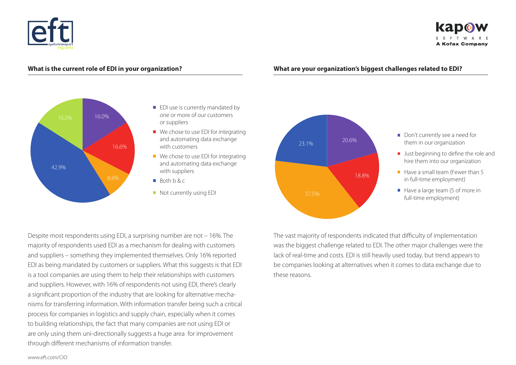



#### **What is the current role of EDI in your organization?**

#### **What are your organization's biggest challenges related to EDI?**



- **EDI** use is currently mandated by one or more of our customers or suppliers
- $\blacksquare$  We chose to use EDI for integrating and automating data exchange with customers
- $\blacksquare$  We chose to use EDI for integrating and automating data exchange with suppliers
- Both b & c
- Not currently using EDI



- Don't currently see a need for them in our organization
- **Just beginning to define the role and** hire them into our organization
- $\blacksquare$  Have a small team (Fewer than 5 in full-time employment)
- $\blacksquare$  Have a large team (5 of more in full-time employment)

Despite most respondents using EDI, a surprising number are not – 16%. The majority of respondents used EDI as a mechanism for dealing with customers and suppliers – something they implemented themselves. Only 16% reported EDI as being mandated by customers or suppliers. What this suggests is that EDI is a tool companies are using them to help their relationships with customers and suppliers. However, with 16% of respondents not using EDI, there's clearly a significant proportion of the industry that are looking for alternative mechanisms for transferring information. With information transfer being such a critical process for companies in logistics and supply chain, especially when it comes to building relationships, the fact that many companies are not using EDI or are only using them uni-directionally suggests a huge area for improvement through different mechanisms of information transfer.

The vast majority of respondents indicated that difficulty of implementation was the biggest challenge related to EDI. The other major challenges were the lack of real-time and costs. EDI is still heavily used today, but trend appears to be companies looking at alternatives when it comes to data exchange due to these reasons.

www.eft.com/CIO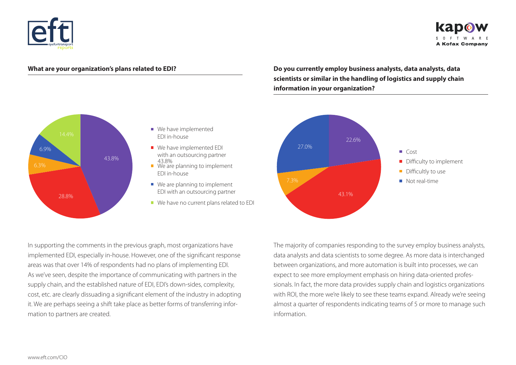



#### **What are your organization's plans related to EDI?**

**Do you currently employ business analysts, data analysts, data scientists or similar in the handling of logistics and supply chain information in your organization?** 



In supporting the comments in the previous graph, most organizations have implemented EDI, especially in-house. However, one of the significant response areas was that over 14% of respondents had no plans of implementing EDI. As we've seen, despite the importance of communicating with partners in the supply chain, and the established nature of EDI, EDI's down-sides, complexity, cost, etc. are clearly dissuading a significant element of the industry in adopting it. We are perhaps seeing a shift take place as better forms of transferring information to partners are created.

The majority of companies responding to the survey employ business analysts, data analysts and data scientists to some degree. As more data is interchanged between organizations, and more automation is built into processes, we can expect to see more employment emphasis on hiring data-oriented professionals. In fact, the more data provides supply chain and logistics organizations with ROI, the more we're likely to see these teams expand. Already we're seeing almost a quarter of respondents indicating teams of 5 or more to manage such information.



- We have implemented EDI in-house
- We have implemented EDI with an outsourcing partner<br>43.8%

 $\blacksquare$  We are planning to implement EDI in-house

- $\blacksquare$  We are planning to implement EDI with an outsourcing partner
- We have no current plans related to EDI